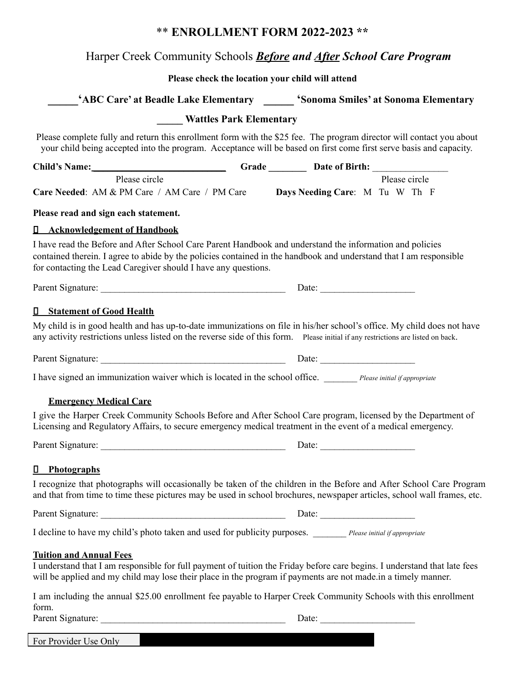## \*\* **ENROLLMENT FORM 2022-2023 \*\***

## Harper Creek Community Schools *Before and After School Care Program*

## **Please check the location your child will attend**

| 'ABC Care' at Beadle Lake Elementary Sonoma Smiles' at Sonoma Elementary                                                                                                                                                                                                                         |                                |                                                                                                                                                                                                                                                |  |
|--------------------------------------------------------------------------------------------------------------------------------------------------------------------------------------------------------------------------------------------------------------------------------------------------|--------------------------------|------------------------------------------------------------------------------------------------------------------------------------------------------------------------------------------------------------------------------------------------|--|
|                                                                                                                                                                                                                                                                                                  | <b>Wattles Park Elementary</b> |                                                                                                                                                                                                                                                |  |
|                                                                                                                                                                                                                                                                                                  |                                | Please complete fully and return this enrollment form with the \$25 fee. The program director will contact you about<br>your child being accepted into the program. Acceptance will be based on first come first serve basis and capacity.     |  |
| Child's Name: Child's Name: Child's Name: Child's Name:                                                                                                                                                                                                                                          |                                |                                                                                                                                                                                                                                                |  |
| Please circle<br>Care Needed: AM & PM Care / AM Care / PM Care Days Needing Care: M Tu W Th F                                                                                                                                                                                                    |                                | Please circle                                                                                                                                                                                                                                  |  |
| Please read and sign each statement.                                                                                                                                                                                                                                                             |                                |                                                                                                                                                                                                                                                |  |
| <b>I</b> Acknowledgement of Handbook                                                                                                                                                                                                                                                             |                                |                                                                                                                                                                                                                                                |  |
| I have read the Before and After School Care Parent Handbook and understand the information and policies<br>contained therein. I agree to abide by the policies contained in the handbook and understand that I am responsible<br>for contacting the Lead Caregiver should I have any questions. |                                |                                                                                                                                                                                                                                                |  |
|                                                                                                                                                                                                                                                                                                  |                                |                                                                                                                                                                                                                                                |  |
| <b>I</b> Statement of Good Health                                                                                                                                                                                                                                                                |                                |                                                                                                                                                                                                                                                |  |
| any activity restrictions unless listed on the reverse side of this form. Please initial if any restrictions are listed on back.                                                                                                                                                                 |                                | My child is in good health and has up-to-date immunizations on file in his/her school's office. My child does not have                                                                                                                         |  |
|                                                                                                                                                                                                                                                                                                  |                                |                                                                                                                                                                                                                                                |  |
| I have signed an immunization waiver which is located in the school office. Please initial if appropriate                                                                                                                                                                                        |                                |                                                                                                                                                                                                                                                |  |
| <b>Emergency Medical Care</b>                                                                                                                                                                                                                                                                    |                                |                                                                                                                                                                                                                                                |  |
| Licensing and Regulatory Affairs, to secure emergency medical treatment in the event of a medical emergency.                                                                                                                                                                                     |                                | I give the Harper Creek Community Schools Before and After School Care program, licensed by the Department of                                                                                                                                  |  |
| Parent Signature: Date: Date:                                                                                                                                                                                                                                                                    |                                |                                                                                                                                                                                                                                                |  |
| П<br><b>Photographs</b>                                                                                                                                                                                                                                                                          |                                |                                                                                                                                                                                                                                                |  |
|                                                                                                                                                                                                                                                                                                  |                                | I recognize that photographs will occasionally be taken of the children in the Before and After School Care Program<br>and that from time to time these pictures may be used in school brochures, newspaper articles, school wall frames, etc. |  |
| Parent Signature: Date: Date:                                                                                                                                                                                                                                                                    |                                |                                                                                                                                                                                                                                                |  |
| I decline to have my child's photo taken and used for publicity purposes. _______ Please initial if appropriate                                                                                                                                                                                  |                                |                                                                                                                                                                                                                                                |  |
| <b>Tuition and Annual Fees</b><br>will be applied and my child may lose their place in the program if payments are not made in a timely manner.                                                                                                                                                  |                                | I understand that I am responsible for full payment of tuition the Friday before care begins. I understand that late fees                                                                                                                      |  |
| form.                                                                                                                                                                                                                                                                                            |                                | I am including the annual \$25.00 enrollment fee payable to Harper Creek Community Schools with this enrollment                                                                                                                                |  |
| Parent Signature:                                                                                                                                                                                                                                                                                |                                | Date: $\_\_$                                                                                                                                                                                                                                   |  |

For Provider Use Only